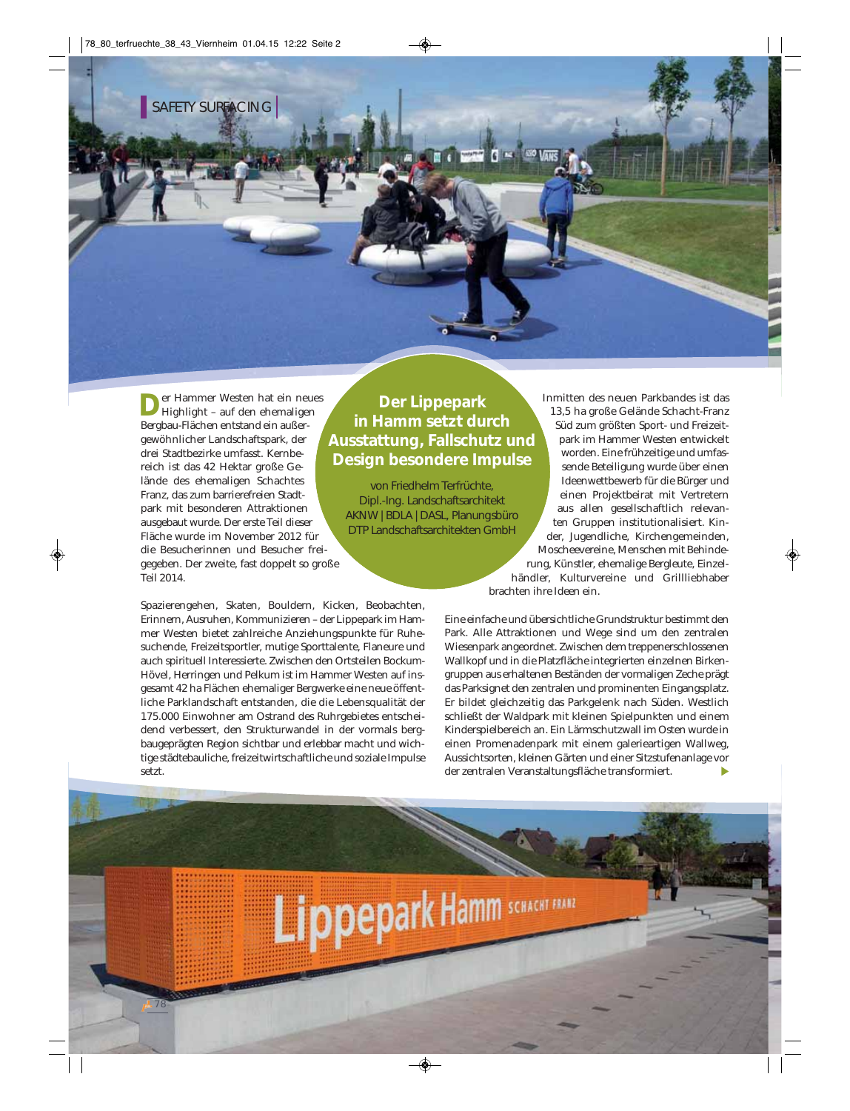er Hammer Westen hat ein neues Highlight – auf den ehemaligen Bergbau-Flächen entstand ein außergewöhnlicher Landschaftspark, der drei Stadtbezirke umfasst. Kernbereich ist das 42 Hektar große Gelände des ehemaligen Schachtes Franz, das zum barrierefreien Stadtpark mit besonderen Attraktionen ausgebaut wurde. Der erste Teil dieser Fläche wurde im November 2012 für die Besucherinnen und Besucher freigegeben. Der zweite, fast doppelt so große Teil 2014.

Spazierengehen, Skaten, Bouldern, Kicken, Beobachten, Erinnern, Ausruhen, Kommunizieren – der Lippepark im Hammer Westen bietet zahlreiche Anziehungspunkte für Ruhesuchende, Freizeitsportler, mutige Sporttalente, Flaneure und auch spirituell Interessierte. Zwischen den Ortsteilen Bockum-Hövel, Herringen und Pelkum ist im Hammer Westen auf insgesamt 42 ha Flächen ehemaliger Bergwerke eine neue öffentliche Parklandschaft entstanden, die die Lebensqualität der 175.000 Einwohner am Ostrand des Ruhrgebietes entscheidend verbessert, den Strukturwandel in der vormals bergbaugeprägten Region sichtbar und erlebbar macht und wichtige städtebauliche, freizeitwirtschaftliche und soziale Impulse setzt.

# **Der Lippepark in Hamm setzt durch Ausstattung, Fallschutz und Design besondere Impulse**

 $R = 100$   $V_{BH}$ 

von Friedhelm Terfrüchte, Dipl.-Ing. Landschaftsarchitekt AKNW | BDLA | DASL, Planungsbüro DTP Landschaftsarchitekten GmbH

Inmitten des neuen Parkbandes ist das 13,5 ha große Gelände Schacht-Franz Süd zum größten Sport- und Freizeitpark im Hammer Westen entwickelt worden. Eine frühzeitige und umfassende Beteiligung wurde über einen Ideenwettbewerb für die Bürger und einen Projektbeirat mit Vertretern aus allen gesellschaftlich relevanten Gruppen institutionalisiert. Kinder, Jugendliche, Kirchengemeinden, Moscheevereine, Menschen mit Behinderung, Künstler, ehemalige Bergleute, Einzelhändler, Kulturvereine und Grillliebhaber brachten ihre Ideen ein.

Eine einfache und übersichtliche Grundstruktur bestimmt den Park. Alle Attraktionen und Wege sind um den zentralen Wiesenpark angeordnet. Zwischen dem treppenerschlossenen Wallkopf und in die Platzfläche integrierten einzelnen Birkengruppen aus erhaltenen Beständen der vormaligen Zeche prägt das Parksignet den zentralen und prominenten Eingangsplatz. Er bildet gleichzeitig das Parkgelenk nach Süden. Westlich schließt der Waldpark mit kleinen Spielpunkten und einem Kinderspielbereich an. Ein Lärmschutzwall im Osten wurde in einen Promenadenpark mit einem galerieartigen Wallweg, Aussichtsorten, kleinen Gärten und einer Sitzstufenanlage vor der zentralen Veranstaltungsfläche transformiert.

Lippepark Hamm SCHACHT FRATE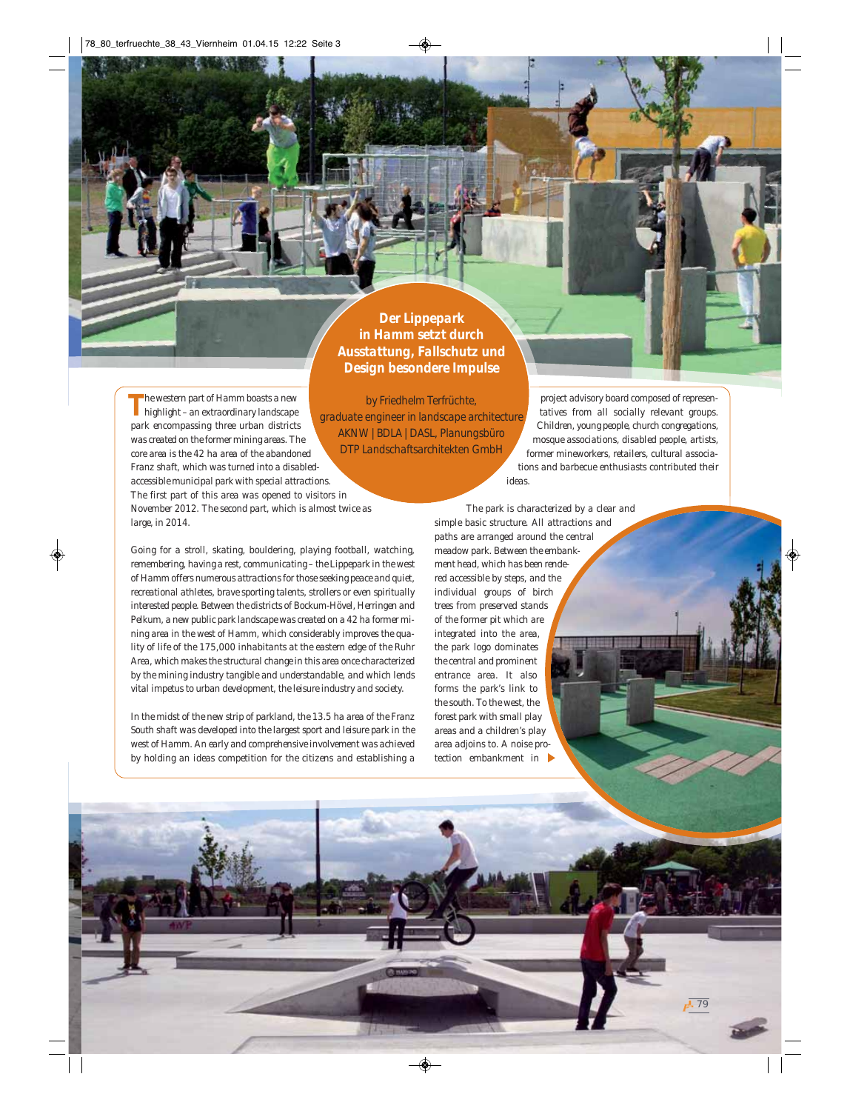*Der Lippepark in Hamm setzt durch Ausstattung, Fallschutz und Design besondere Impulse*

*by Friedhelm Terfrüchte,* 

*The western part of Hamm boasts a new highlight – an extraordinary landscape park encompassing three urban districts was created on the former mining areas. The core area is the 42 ha area of the abandoned Franz shaft, which was turned into a disabledaccessible municipal park with special attractions. The first part of this area was opened to visitors in November 2012. The second part, which is almost twice as large, in 2014. graduate engineer in landscape architecture AKNW | BDLA | DASL, Planungsbüro DTP Landschaftsarchitekten GmbH*

*Going for a stroll, skating, bouldering, playing football, watching, remembering, having a rest, communicating – the Lippepark in the west of Hamm offers numerous attractions for those seeking peace and quiet, recreational athletes, brave sporting talents, strollers or even spiritually interested people. Between the districts of Bockum-Hövel, Herringen and Pelkum, a new public park landscape was created on a 42 ha former mining area in the west of Hamm, which considerably improves the quality of life of the 175,000 inhabitants at the eastern edge of the Ruhr Area, which makes the structural change in this area once characterized by the mining industry tangible and understandable, and which lends vital impetus to urban development, the leisure industry and society.* 

*In the midst of the new strip of parkland, the 13.5 ha area of the Franz South shaft was developed into the largest sport and leisure park in the west of Hamm. An early and comprehensive involvement was achieved by holding an ideas competition for the citizens and establishing a* 

*project advisory board composed of representatives from all socially relevant groups. Children, young people, church congregations, mosque associations, disabled people, artists, former mineworkers, retailers, cultural associations and barbecue enthusiasts contributed their ideas.* 

79

*The park is characterized by a clear and simple basic structure. All attractions and paths are arranged around the central meadow park. Between the embankment head, which has been rendered accessible by steps, and the individual groups of birch trees from preserved stands of the former pit which are integrated into the area, the park logo dominates the central and prominent entrance area. It also forms the park's link to the south. To the west, the forest park with small play areas and a children's play area adjoins to. A noise protection embankment in*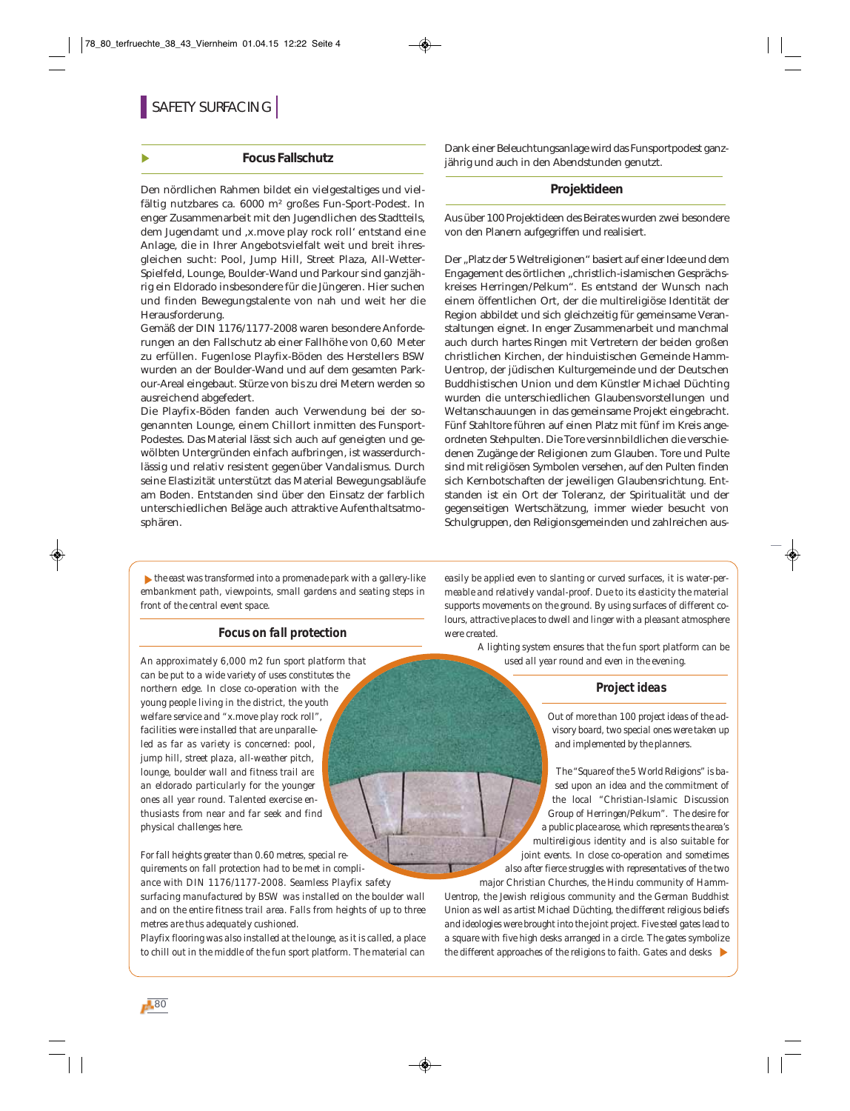#### **Focus Fallschutz**

Den nördlichen Rahmen bildet ein vielgestaltiges und vielfältig nutzbares ca. 6000 m² großes Fun-Sport-Podest. In enger Zusammenarbeit mit den Jugendlichen des Stadtteils, dem Jugendamt und ,x.move play rock roll' entstand eine Anlage, die in Ihrer Angebotsvielfalt weit und breit ihresgleichen sucht: Pool, Jump Hill, Street Plaza, All-Wetter-Spielfeld, Lounge, Boulder-Wand und Parkour sind ganzjährig ein Eldorado insbesondere für die Jüngeren. Hier suchen und finden Bewegungstalente von nah und weit her die Herausforderung.

Gemäß der DIN 1176/1177-2008 waren besondere Anforderungen an den Fallschutz ab einer Fallhöhe von 0,60 Meter zu erfüllen. Fugenlose Playfix-Böden des Herstellers BSW wurden an der Boulder-Wand und auf dem gesamten Parkour-Areal eingebaut. Stürze von bis zu drei Metern werden so ausreichend abgefedert.

Die Playfix-Böden fanden auch Verwendung bei der sogenannten Lounge, einem Chillort inmitten des Funsport-Podestes. Das Material lässt sich auch auf geneigten und gewölbten Untergründen einfach aufbringen, ist wasserdurchlässig und relativ resistent gegenüber Vandalismus. Durch seine Elastizität unterstützt das Material Bewegungsabläufe am Boden. Entstanden sind über den Einsatz der farblich unterschiedlichen Beläge auch attraktive Aufenthaltsatmosphären.

Dank einer Beleuchtungsanlage wird das Funsportpodest ganzjährig und auch in den Abendstunden genutzt.

## **Projektideen**

Aus über 100 Projektideen des Beirates wurden zwei besondere von den Planern aufgegriffen und realisiert.

Der "Platz der 5 Weltreligionen" basiert auf einer Idee und dem Engagement des örtlichen "christlich-islamischen Gesprächskreises Herringen/Pelkum". Es entstand der Wunsch nach einem öffentlichen Ort, der die multireligiöse Identität der Region abbildet und sich gleichzeitig für gemeinsame Veranstaltungen eignet. In enger Zusammenarbeit und manchmal auch durch hartes Ringen mit Vertretern der beiden großen christlichen Kirchen, der hinduistischen Gemeinde Hamm-Uentrop, der jüdischen Kulturgemeinde und der Deutschen Buddhistischen Union und dem Künstler Michael Düchting wurden die unterschiedlichen Glaubensvorstellungen und Weltanschauungen in das gemeinsame Projekt eingebracht. Fünf Stahltore führen auf einen Platz mit fünf im Kreis angeordneten Stehpulten. Die Tore versinnbildlichen die verschiedenen Zugänge der Religionen zum Glauben. Tore und Pulte sind mit religiösen Symbolen versehen, auf den Pulten finden sich Kernbotschaften der jeweiligen Glaubensrichtung. Entstanden ist ein Ort der Toleranz, der Spiritualität und der gegenseitigen Wertschätzung, immer wieder besucht von Schulgruppen, den Religionsgemeinden und zahlreichen aus-

*the east was transformed into a promenade park with a gallery-like embankment path, viewpoints, small gardens and seating steps in front of the central event space.*

## *Focus on fall protection*

*An approximately 6,000 m2 fun sport platform that can be put to a wide variety of uses constitutes the northern edge. In close co-operation with the young people living in the district, the youth welfare service and "x.move play rock roll", facilities were installed that are unparalleled as far as variety is concerned: pool, jump hill, street plaza, all-weather pitch, lounge, boulder wall and fitness trail are an eldorado particularly for the younger ones all year round. Talented exercise enthusiasts from near and far seek and find physical challenges here.*

*For fall heights greater than 0.60 metres, special requirements on fall protection had to be met in compliance with DIN 1176/1177-2008. Seamless Playfix safety surfacing manufactured by BSW was installed on the boulder wall and on the entire fitness trail area. Falls from heights of up to three metres are thus adequately cushioned.* 

*Playfix flooring was also installed at the lounge, as it is called, a place to chill out in the middle of the fun sport platform. The material can*

*easily be applied even to slanting or curved surfaces, it is water-permeable and relatively vandal-proof. Due to its elasticity the material supports movements on the ground. By using surfaces of different colours, attractive places to dwell and linger with a pleasant atmosphere were created.* 

> *A lighting system ensures that the fun sport platform can be used all year round and even in the evening.*

#### *Project ideas*

*Out of more than 100 project ideas of the advisory board, two special ones were taken up and implemented by the planners.* 

*The "Square of the 5 World Religions" is based upon an idea and the commitment of the local "Christian-Islamic Discussion Group of Herringen/Pelkum". The desire for a public place arose, which represents the area's multireligious identity and is also suitable for joint events. In close co-operation and sometimes also after fierce struggles with representatives of the two*

*major Christian Churches, the Hindu community of Hamm-Uentrop, the Jewish religious community and the German Buddhist Union as well as artist Michael Düchting, the different religious beliefs and ideologies were brought into the joint project. Five steel gates lead to a square with five high desks arranged in a circle. The gates symbolize the different approaches of the religions to faith. Gates and desks*